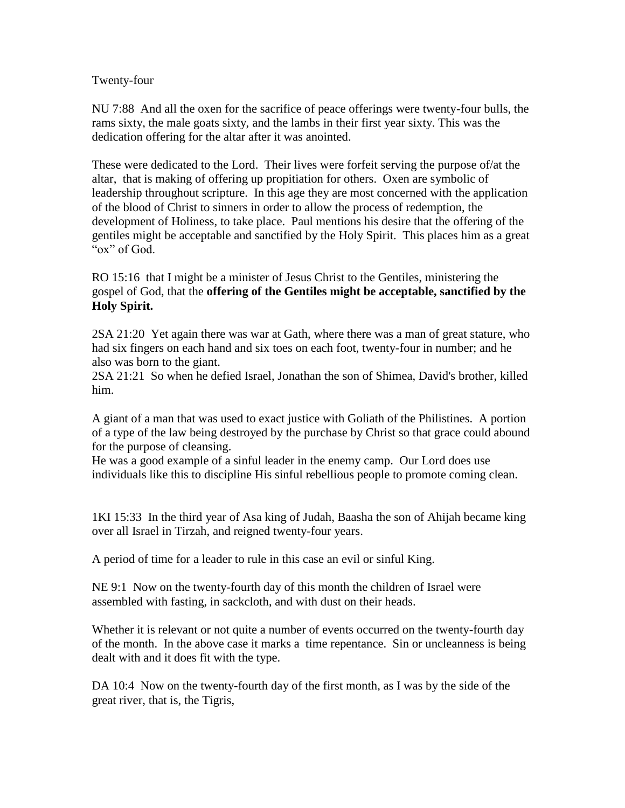## Twenty-four

NU 7:88 And all the oxen for the sacrifice of peace offerings were twenty-four bulls, the rams sixty, the male goats sixty, and the lambs in their first year sixty. This was the dedication offering for the altar after it was anointed.

These were dedicated to the Lord. Their lives were forfeit serving the purpose of/at the altar, that is making of offering up propitiation for others. Oxen are symbolic of leadership throughout scripture. In this age they are most concerned with the application of the blood of Christ to sinners in order to allow the process of redemption, the development of Holiness, to take place. Paul mentions his desire that the offering of the gentiles might be acceptable and sanctified by the Holy Spirit. This places him as a great "ox" of God.

RO 15:16 that I might be a minister of Jesus Christ to the Gentiles, ministering the gospel of God, that the **offering of the Gentiles might be acceptable, sanctified by the Holy Spirit.**

2SA 21:20 Yet again there was war at Gath, where there was a man of great stature, who had six fingers on each hand and six toes on each foot, twenty-four in number; and he also was born to the giant.

2SA 21:21 So when he defied Israel, Jonathan the son of Shimea, David's brother, killed him.

A giant of a man that was used to exact justice with Goliath of the Philistines. A portion of a type of the law being destroyed by the purchase by Christ so that grace could abound for the purpose of cleansing.

He was a good example of a sinful leader in the enemy camp. Our Lord does use individuals like this to discipline His sinful rebellious people to promote coming clean.

1KI 15:33 In the third year of Asa king of Judah, Baasha the son of Ahijah became king over all Israel in Tirzah, and reigned twenty-four years.

A period of time for a leader to rule in this case an evil or sinful King.

NE 9:1 Now on the twenty-fourth day of this month the children of Israel were assembled with fasting, in sackcloth, and with dust on their heads.

Whether it is relevant or not quite a number of events occurred on the twenty-fourth day of the month. In the above case it marks a time repentance. Sin or uncleanness is being dealt with and it does fit with the type.

DA 10:4 Now on the twenty-fourth day of the first month, as I was by the side of the great river, that is, the Tigris,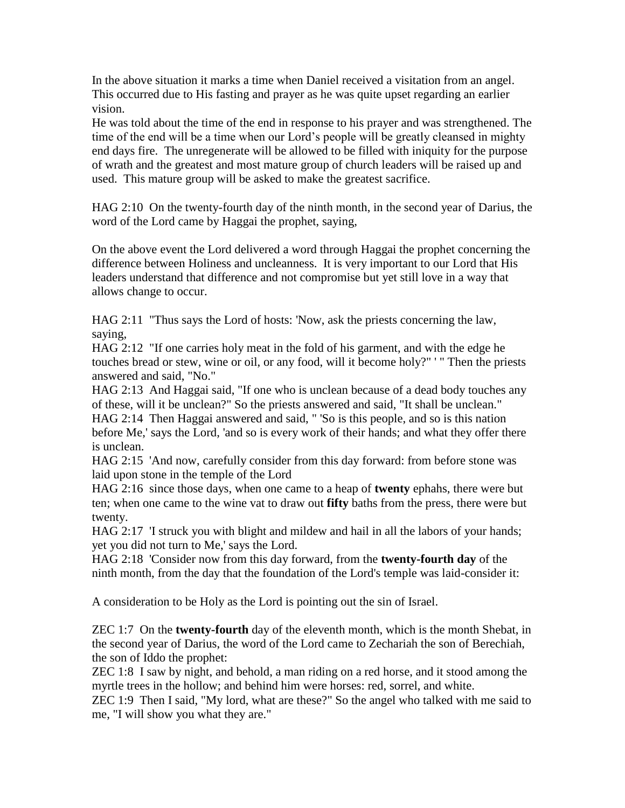In the above situation it marks a time when Daniel received a visitation from an angel. This occurred due to His fasting and prayer as he was quite upset regarding an earlier vision.

He was told about the time of the end in response to his prayer and was strengthened. The time of the end will be a time when our Lord's people will be greatly cleansed in mighty end days fire. The unregenerate will be allowed to be filled with iniquity for the purpose of wrath and the greatest and most mature group of church leaders will be raised up and used. This mature group will be asked to make the greatest sacrifice.

HAG 2:10 On the twenty-fourth day of the ninth month, in the second year of Darius, the word of the Lord came by Haggai the prophet, saying,

On the above event the Lord delivered a word through Haggai the prophet concerning the difference between Holiness and uncleanness. It is very important to our Lord that His leaders understand that difference and not compromise but yet still love in a way that allows change to occur.

HAG 2:11 "Thus says the Lord of hosts: 'Now, ask the priests concerning the law, saying,

HAG 2:12 "If one carries holy meat in the fold of his garment, and with the edge he touches bread or stew, wine or oil, or any food, will it become holy?" ' " Then the priests answered and said, "No."

HAG 2:13 And Haggai said, "If one who is unclean because of a dead body touches any of these, will it be unclean?" So the priests answered and said, "It shall be unclean." HAG 2:14 Then Haggai answered and said, " 'So is this people, and so is this nation before Me,' says the Lord, 'and so is every work of their hands; and what they offer there is unclean.

HAG 2:15 'And now, carefully consider from this day forward: from before stone was laid upon stone in the temple of the Lord

HAG 2:16 since those days, when one came to a heap of **twenty** ephahs, there were but ten; when one came to the wine vat to draw out **fifty** baths from the press, there were but twenty.

HAG 2:17 'I struck you with blight and mildew and hail in all the labors of your hands; yet you did not turn to Me,' says the Lord.

HAG 2:18 'Consider now from this day forward, from the **twenty-fourth day** of the ninth month, from the day that the foundation of the Lord's temple was laid-consider it:

A consideration to be Holy as the Lord is pointing out the sin of Israel.

ZEC 1:7 On the **twenty-fourth** day of the eleventh month, which is the month Shebat, in the second year of Darius, the word of the Lord came to Zechariah the son of Berechiah, the son of Iddo the prophet:

ZEC 1:8 I saw by night, and behold, a man riding on a red horse, and it stood among the myrtle trees in the hollow; and behind him were horses: red, sorrel, and white.

ZEC 1:9 Then I said, "My lord, what are these?" So the angel who talked with me said to me, "I will show you what they are."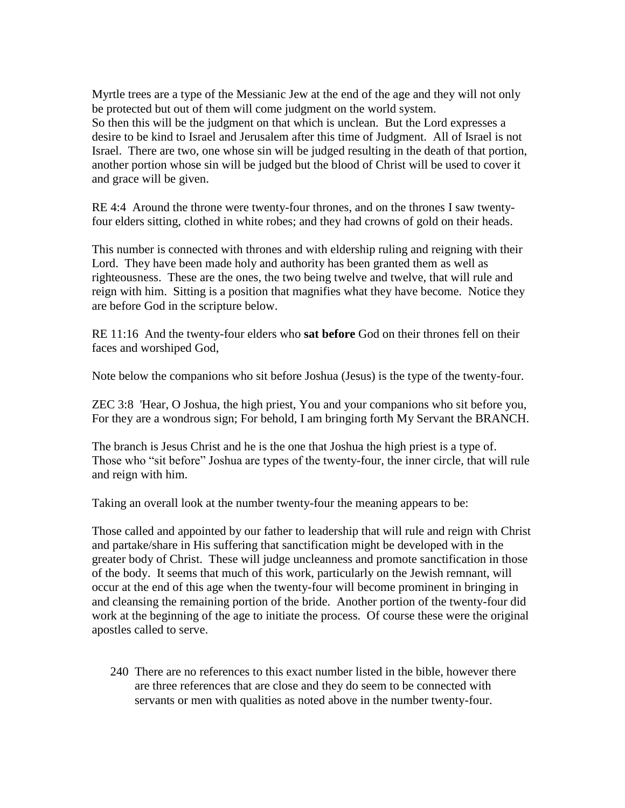Myrtle trees are a type of the Messianic Jew at the end of the age and they will not only be protected but out of them will come judgment on the world system. So then this will be the judgment on that which is unclean. But the Lord expresses a desire to be kind to Israel and Jerusalem after this time of Judgment. All of Israel is not Israel. There are two, one whose sin will be judged resulting in the death of that portion, another portion whose sin will be judged but the blood of Christ will be used to cover it and grace will be given.

RE 4:4 Around the throne were twenty-four thrones, and on the thrones I saw twentyfour elders sitting, clothed in white robes; and they had crowns of gold on their heads.

This number is connected with thrones and with eldership ruling and reigning with their Lord. They have been made holy and authority has been granted them as well as righteousness. These are the ones, the two being twelve and twelve, that will rule and reign with him. Sitting is a position that magnifies what they have become. Notice they are before God in the scripture below.

RE 11:16 And the twenty-four elders who **sat before** God on their thrones fell on their faces and worshiped God,

Note below the companions who sit before Joshua (Jesus) is the type of the twenty-four.

ZEC 3:8 'Hear, O Joshua, the high priest, You and your companions who sit before you, For they are a wondrous sign; For behold, I am bringing forth My Servant the BRANCH.

The branch is Jesus Christ and he is the one that Joshua the high priest is a type of. Those who "sit before" Joshua are types of the twenty-four, the inner circle, that will rule and reign with him.

Taking an overall look at the number twenty-four the meaning appears to be:

Those called and appointed by our father to leadership that will rule and reign with Christ and partake/share in His suffering that sanctification might be developed with in the greater body of Christ. These will judge uncleanness and promote sanctification in those of the body. It seems that much of this work, particularly on the Jewish remnant, will occur at the end of this age when the twenty-four will become prominent in bringing in and cleansing the remaining portion of the bride. Another portion of the twenty-four did work at the beginning of the age to initiate the process. Of course these were the original apostles called to serve.

240 There are no references to this exact number listed in the bible, however there are three references that are close and they do seem to be connected with servants or men with qualities as noted above in the number twenty-four.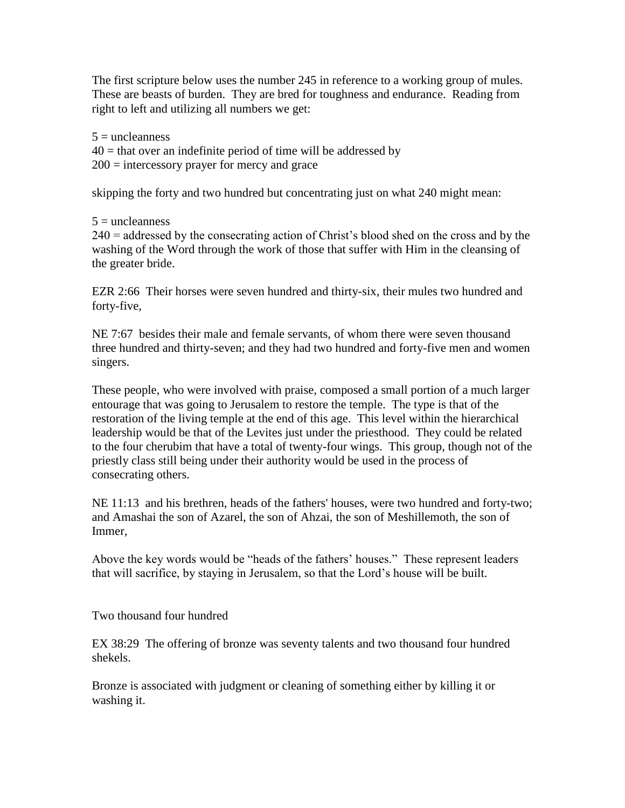The first scripture below uses the number 245 in reference to a working group of mules. These are beasts of burden. They are bred for toughness and endurance. Reading from right to left and utilizing all numbers we get:

 $5 =$ uncleanness  $40 =$  that over an indefinite period of time will be addressed by 200 = intercessory prayer for mercy and grace

skipping the forty and two hundred but concentrating just on what 240 might mean:

 $5 =$ uncleanness

240 = addressed by the consecrating action of Christ's blood shed on the cross and by the washing of the Word through the work of those that suffer with Him in the cleansing of the greater bride.

EZR 2:66 Their horses were seven hundred and thirty-six, their mules two hundred and forty-five,

NE 7:67 besides their male and female servants, of whom there were seven thousand three hundred and thirty-seven; and they had two hundred and forty-five men and women singers.

These people, who were involved with praise, composed a small portion of a much larger entourage that was going to Jerusalem to restore the temple. The type is that of the restoration of the living temple at the end of this age. This level within the hierarchical leadership would be that of the Levites just under the priesthood. They could be related to the four cherubim that have a total of twenty-four wings. This group, though not of the priestly class still being under their authority would be used in the process of consecrating others.

NE 11:13 and his brethren, heads of the fathers' houses, were two hundred and forty-two; and Amashai the son of Azarel, the son of Ahzai, the son of Meshillemoth, the son of Immer,

Above the key words would be "heads of the fathers' houses." These represent leaders that will sacrifice, by staying in Jerusalem, so that the Lord's house will be built.

Two thousand four hundred

EX 38:29 The offering of bronze was seventy talents and two thousand four hundred shekels.

Bronze is associated with judgment or cleaning of something either by killing it or washing it.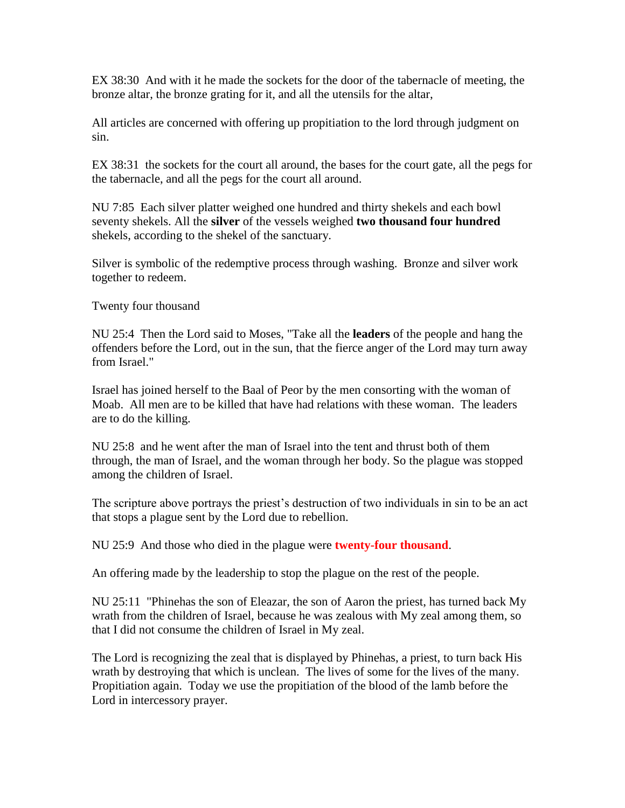EX 38:30 And with it he made the sockets for the door of the tabernacle of meeting, the bronze altar, the bronze grating for it, and all the utensils for the altar,

All articles are concerned with offering up propitiation to the lord through judgment on sin.

EX 38:31 the sockets for the court all around, the bases for the court gate, all the pegs for the tabernacle, and all the pegs for the court all around.

NU 7:85 Each silver platter weighed one hundred and thirty shekels and each bowl seventy shekels. All the **silver** of the vessels weighed **two thousand four hundred** shekels, according to the shekel of the sanctuary.

Silver is symbolic of the redemptive process through washing. Bronze and silver work together to redeem.

Twenty four thousand

NU 25:4 Then the Lord said to Moses, "Take all the **leaders** of the people and hang the offenders before the Lord, out in the sun, that the fierce anger of the Lord may turn away from Israel."

Israel has joined herself to the Baal of Peor by the men consorting with the woman of Moab. All men are to be killed that have had relations with these woman. The leaders are to do the killing.

NU 25:8 and he went after the man of Israel into the tent and thrust both of them through, the man of Israel, and the woman through her body. So the plague was stopped among the children of Israel.

The scripture above portrays the priest's destruction of two individuals in sin to be an act that stops a plague sent by the Lord due to rebellion.

NU 25:9 And those who died in the plague were **twenty-four thousand**.

An offering made by the leadership to stop the plague on the rest of the people.

NU 25:11 "Phinehas the son of Eleazar, the son of Aaron the priest, has turned back My wrath from the children of Israel, because he was zealous with My zeal among them, so that I did not consume the children of Israel in My zeal.

The Lord is recognizing the zeal that is displayed by Phinehas, a priest, to turn back His wrath by destroying that which is unclean. The lives of some for the lives of the many. Propitiation again. Today we use the propitiation of the blood of the lamb before the Lord in intercessory prayer.